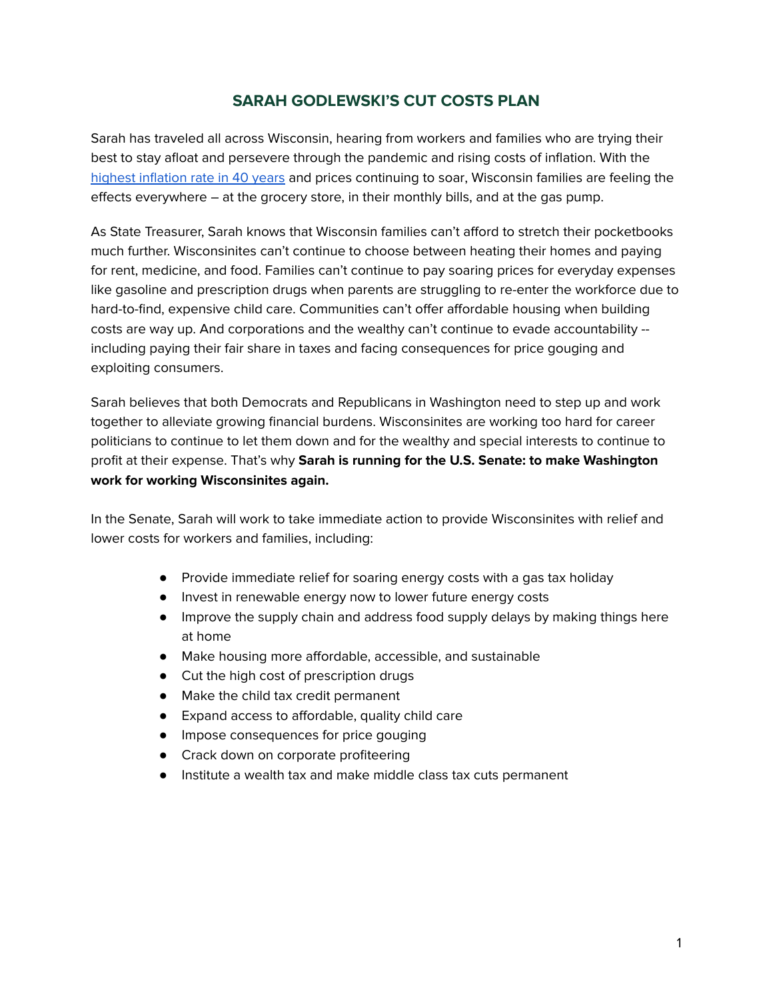# **SARAH GODLEWSKI'S CUT COSTS PLAN**

Sarah has traveled all across Wisconsin, hearing from workers and families who are trying their best to stay afloat and persevere through the pandemic and rising costs of inflation. With the highest [inflation](https://apnews.com/article/business-long-beach-inflation-prices-consumer-prices-d412bcce554693de469765b34351773d) rate in 40 years and prices [continuing](https://www.nbc26.com/news/local-news/experts-predict-gas-prices-will-continue-to-rise-in-wisconsin) to soar, Wisconsin families are feeling the effects everywhere – at the grocery store, in their monthly bills, and at the gas pump.

As State Treasurer, Sarah knows that Wisconsin families can't afford to stretch their pocketbooks much further. Wisconsinites can't continue to choose between heating their homes and paying for rent, medicine, and food. Families can't continue to pay soaring prices for everyday expenses like gasoline and prescription drugs when parents are struggling to re-enter the workforce due to hard-to-find, expensive child care. Communities can't offer affordable housing when building costs are way up. And corporations and the wealthy can't continue to evade accountability - including paying their fair share in taxes and facing consequences for price gouging and exploiting consumers.

Sarah believes that both Democrats and Republicans in Washington need to step up and work together to alleviate growing financial burdens. Wisconsinites are working too hard for career politicians to continue to let them down and for the wealthy and special interests to continue to profit at their expense. That's why **Sarah is running for the U.S. Senate: to make Washington work for working Wisconsinites again.**

In the Senate, Sarah will work to take immediate action to provide Wisconsinites with relief and lower costs for workers and families, including:

- Provide immediate relief for soaring energy costs with a gas tax holiday
- Invest in renewable energy now to lower future energy costs
- Improve the supply chain and address food supply delays by making things here at home
- Make housing more affordable, accessible, and sustainable
- Cut the high cost of prescription drugs
- Make the child tax credit permanent
- Expand access to affordable, quality child care
- Impose consequences for price gouging
- Crack down on corporate profiteering
- Institute a wealth tax and make middle class tax cuts permanent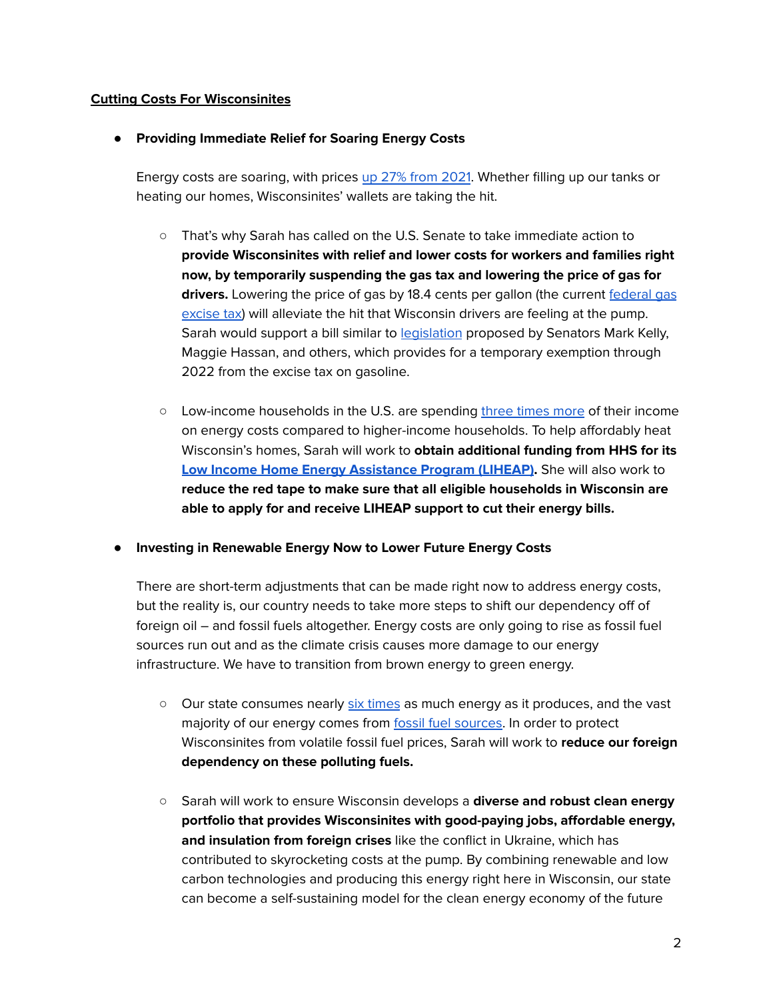## **Cutting Costs For Wisconsinites**

## **● Providing Immediate Relief for Soaring Energy Costs**

Energy costs are soaring, with prices up 27% from [2021](https://money.com/high-heating-bills-2022/). Whether filling up our tanks or heating our homes, Wisconsinites' wallets are taking the hit.

- That's why Sarah has called on the U.S. Senate to take immediate action to **provide Wisconsinites with relief and lower costs for workers and families right now, by temporarily suspending the gas tax and lowering the price of gas for drivers.** Lowering the price of gas by 18.4 cents per gallon (the current [federal](https://www.kelly.senate.gov/press-releases/sens-kelly-hassan-lead-colleagues-in-introducing-bill-to-lower-high-gas-prices%E2%80%AFat-the-pump/) gas [excise](https://www.kelly.senate.gov/press-releases/sens-kelly-hassan-lead-colleagues-in-introducing-bill-to-lower-high-gas-prices%E2%80%AFat-the-pump/) tax) will alleviate the hit that Wisconsin drivers are feeling at the pump. Sarah would support a bill similar to [legislation](https://www.congress.gov/bill/117th-congress/senate-bill/3609/text?r=2&s=1) proposed by Senators Mark Kelly, Maggie Hassan, and others, which provides for a temporary exemption through 2022 from the excise tax on gasoline.
- Low-income households in the U.S. are spending three [times](https://money.com/high-heating-bills-2022/) more of their income on energy costs compared to higher-income households. To help affordably heat Wisconsin's homes, Sarah will work to **obtain additional funding from HHS for its Low Income Home Energy [Assistance](https://www.smith.senate.gov/klobuchar-smith-bipartisan-group-colleagues-urge-administration-support-home-energy-assistance) Program (LIHEAP).** She will also work to **reduce the red tape to make sure that all eligible households in Wisconsin are able to apply for and receive LIHEAP support to cut their energy bills.**

#### **● Investing in Renewable Energy Now to Lower Future Energy Costs**

There are short-term adjustments that can be made right now to address energy costs, but the reality is, our country needs to take more steps to shift our dependency off of foreign oil – and fossil fuels altogether. Energy costs are only going to rise as fossil fuel sources run out and as the climate crisis causes more damage to our energy infrastructure. We have to transition from brown energy to green energy.

- $\circ$  Our state consumes nearly six [times](https://www.eia.gov/state/?sid=WI#tabs-4) as much energy as it produces, and the vast majority of our energy comes from fossil fuel [sources](https://www.eia.gov/state/analysis.php?sid=WI). In order to protect Wisconsinites from volatile fossil fuel prices, Sarah will work to **reduce our foreign dependency on these polluting fuels.**
- Sarah will work to ensure Wisconsin develops a **diverse and robust clean energy portfolio that provides Wisconsinites with good-paying jobs, affordable energy, and insulation from foreign crises** like the conflict in Ukraine, which has contributed to skyrocketing costs at the pump. By combining renewable and low carbon technologies and producing this energy right here in Wisconsin, our state can become a self-sustaining model for the clean energy economy of the future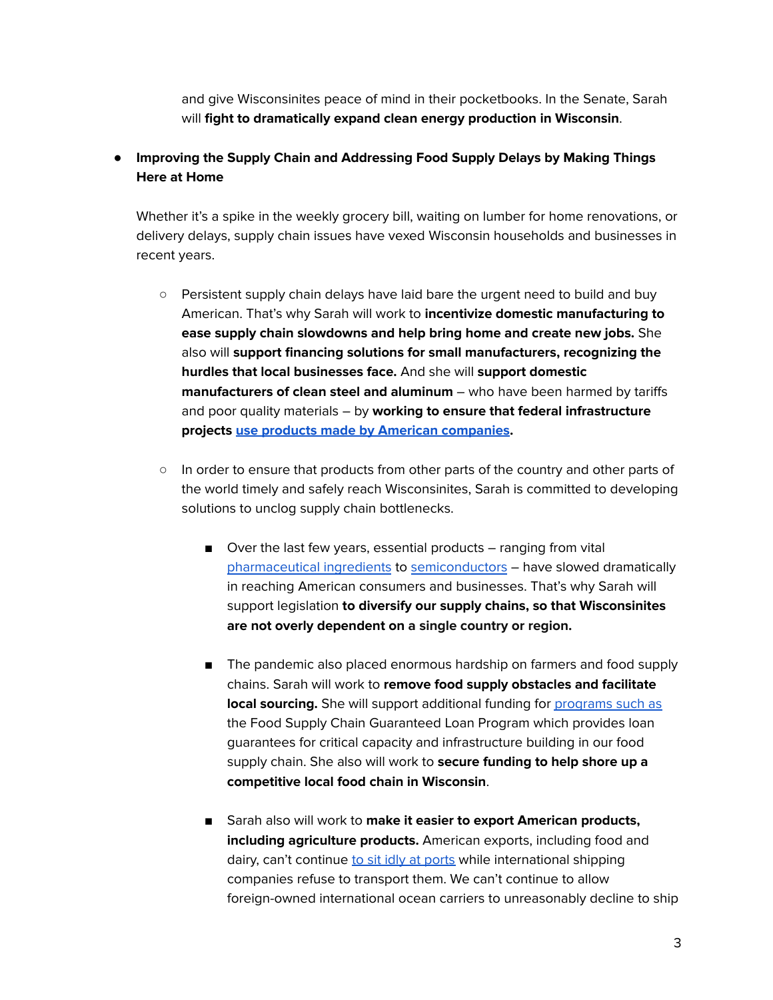and give Wisconsinites peace of mind in their pocketbooks. In the Senate, Sarah will **fight to dramatically expand clean energy production in Wisconsin**.

# **● Improving the Supply Chain and Addressing Food Supply Delays by Making Things Here at Home**

Whether it's a spike in the weekly grocery bill, waiting on lumber for home renovations, or delivery delays, supply chain issues have vexed Wisconsin households and businesses in recent years.

- **○** Persistent supply chain delays have laid bare the urgent need to build and buy American. That's why Sarah will work to **incentivize domestic manufacturing to ease supply chain slowdowns and help bring home and create new jobs.** She also will **support financing solutions for small manufacturers, recognizing the hurdles that local businesses face.** And she will **support domestic manufacturers of clean steel and aluminum** – who have been harmed by tariffs and poor quality materials – by **working to ensure that federal infrastructure projects use products made by American [companies.](https://www.baldwin.senate.gov/news/press-releases/baldwin-introduces-legislation-to-address-supply-chain-disruptions-and-support-made-in-america-production)**
- **○** In order to ensure that products from other parts of the country and other parts of the world timely and safely reach Wisconsinites, Sarah is committed to developing solutions to unclog supply chain bottlenecks.
	- Over the last few years, essential products ranging from vital [pharmaceutical](https://hbr.org/2021/08/the-u-s-needs-to-reimagine-its-pharma-supply-chain) ingredients to [semiconductors](https://www.wsj.com/articles/global-chip-shortage-is-far-from-over-as-wait-times-get-longer-11635413402) – have slowed dramatically in reaching American consumers and businesses. That's why Sarah will support legislation **to diversify our supply chains, so that Wisconsinites are not overly dependent on a single country or region.**
	- The pandemic also placed enormous hardship on farmers and food supply chains. Sarah will work to **remove food supply obstacles and facilitate local sourcing.** She will support additional funding for [programs](https://www.smith.senate.gov/us-senators-amy-klobuchar-tina-smith-and-us-representative-angie-craig-announce-program-deliver) such as the Food Supply Chain Guaranteed Loan Program which provides loan guarantees for critical capacity and infrastructure building in our food supply chain. She also will work to **secure funding to help shore up a competitive local food chain in Wisconsin**.
	- **■** Sarah also will work to **make it easier to export American products, including agriculture products.** American exports, including food and dairy, can't continue to sit idly at [ports](https://www.cnbc.com/2021/01/26/shipping-carriers-rejected-us-agricultural-exports-sent-empty-containers-to-china.html) while international shipping companies refuse to transport them. We can't continue to allow foreign-owned international ocean carriers to unreasonably decline to ship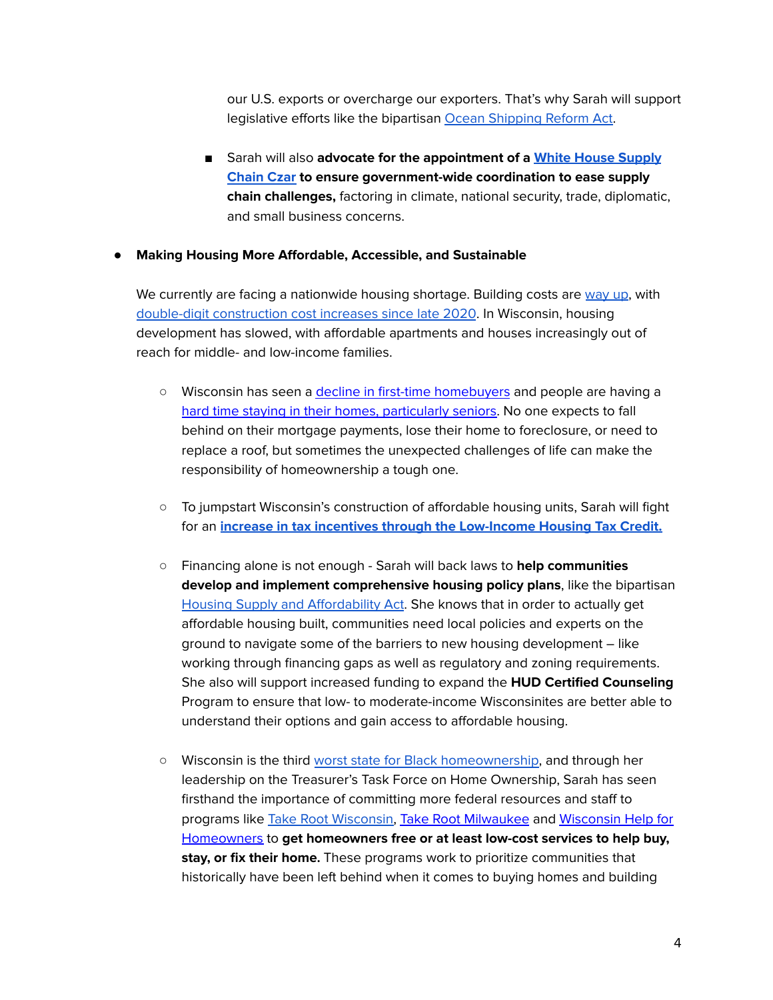our U.S. exports or overcharge our exporters. That's why Sarah will support legislative efforts like the bipartisan Ocean [Shipping](https://www.klobuchar.senate.gov/public/index.cfm/news-releases?id=0C6590B3-D37B-4149-A4B0-F785F08837A8) Reform Act.

**■** Sarah will also **advocate for the appointment of a White House [Supply](https://panetta.house.gov/media/press-releases/reps-panetta-and-arrington-request-president-biden-designate-supply-chain-czar) [Chain](https://panetta.house.gov/media/press-releases/reps-panetta-and-arrington-request-president-biden-designate-supply-chain-czar) Czar to ensure government-wide coordination to ease supply chain challenges,** factoring in climate, national security, trade, diplomatic, and small business concerns.

### **● Making Housing More Affordable, Accessible, and Sustainable**

We currently are facing a nationwide housing shortage. Building costs are [way](https://www.greenbaypressgazette.com/in-depth/news/local/2021/06/16/housing-in-northeast-wisconsin-booming-market-hurts-affordability/7357640002/) up, with double-digit [construction](https://www.jsonline.com/story/money/real-estate/commercial/2022/02/24/affordable-apartment-projects-face-delays-construction-costs-soar/6883501001/) cost increases since late 2020. In Wisconsin, housing development has slowed, with affordable apartments and houses increasingly out of reach for middle- and low-income families.

- Wisconsin has seen a decline in first-time [homebuyers](https://statetreasurer.wi.gov/Pages/Homeownership.aspx) and people are having a hard time staying in their homes, [particularly](https://statetreasurer.wi.gov/Pages/Homeownership.aspx) seniors. No one expects to fall behind on their mortgage payments, lose their home to foreclosure, or need to replace a roof, but sometimes the unexpected challenges of life can make the responsibility of homeownership a tough one.
- **○** To jumpstart Wisconsin's construction of affordable housing units, Sarah will fight for an **increase in tax incentives through the [Low-Income](https://www.whitehouse.gov/briefing-room/statements-releases/2021/09/01/fact-sheet-biden-harris-administration-announces-immediate-steps-to-increase-affordable-housing-supply/) Housing Tax Credit.**
- **○** Financing alone is not enough Sarah will back laws to **help communities develop and implement comprehensive housing policy plans**, like the bipartisan Housing Supply and [Affordability](https://www.klobuchar.senate.gov/public/index.cfm/2021/3/klobuchar-portman-kaine-introduce-bipartisan-legislation-to-address-nationwide-housing-shortage) Act. She knows that in order to actually get affordable housing built, communities need local policies and experts on the ground to navigate some of the barriers to new housing development – like working through financing gaps as well as regulatory and zoning requirements. She also will support increased funding to expand the **HUD Certified Counseling** Program to ensure that low- to moderate-income Wisconsinites are better able to understand their options and gain access to affordable housing.
- Wisconsin is the third worst state for Black [homeownership,](https://www.nar.realtor/sites/default/files/documents/2020-snapshot-of-race-and-home-buying-in-america-02-21-2020.pdf) and through her leadership on the Treasurer's Task Force on Home Ownership, Sarah has seen firsthand the importance of committing more federal resources and staff to programs like Take Root [Wisconsin,](https://takerootwi.org/) Take Root [Milwaukee](https://takerootmilwaukee.com/about/) and [Wisconsin](https://statetreasurer.wi.gov/Pages/Wisconsin-Help-for-Homeowners.aspx) Help for [Homeowners](https://statetreasurer.wi.gov/Pages/Wisconsin-Help-for-Homeowners.aspx) to **get homeowners free or at least low-cost services to help buy, stay, or fix their home.** These programs work to prioritize communities that historically have been left behind when it comes to buying homes and building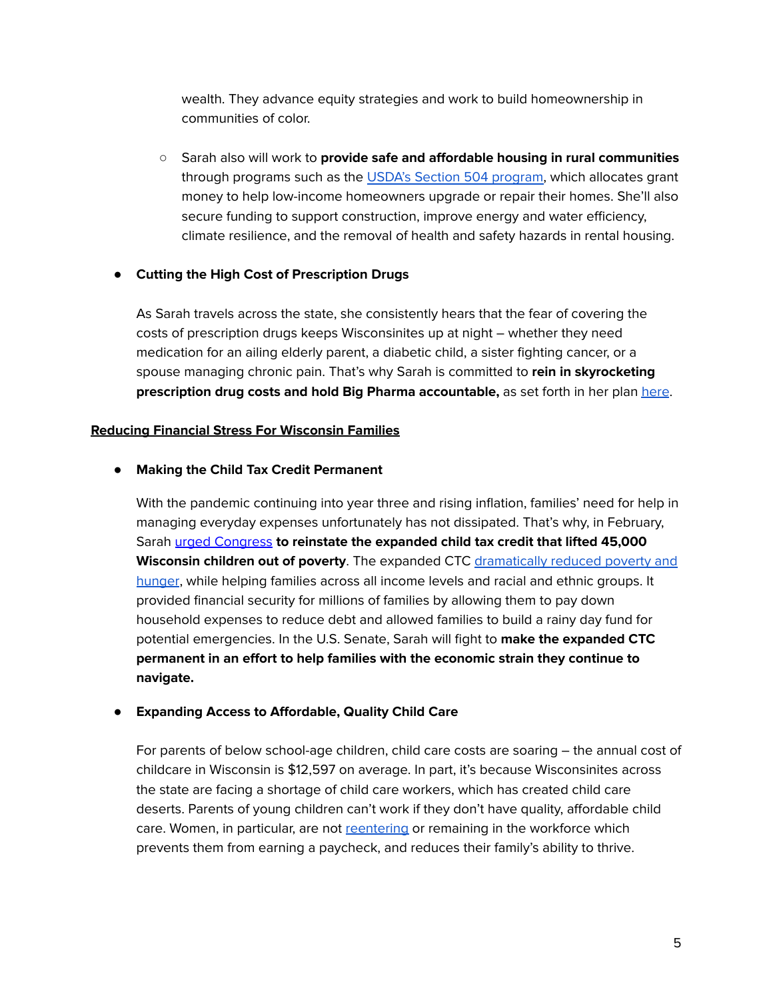wealth. They advance equity strategies and work to build homeownership in communities of color.

**○** Sarah also will work to **provide safe and affordable housing in rural communities** through programs such as the USDA's Section 504 [program,](https://www.americanprogress.org/article/build-back-rural-new-investments-in-rural-capacity-people-and-innovation/) which allocates grant money to help low-income homeowners upgrade or repair their homes. She'll also secure funding to support construction, improve energy and water efficiency, climate resilience, and the removal of health and safety hazards in rental housing.

# **● Cutting the High Cost of Prescription Drugs**

As Sarah travels across the state, she consistently hears that the fear of covering the costs of prescription drugs keeps Wisconsinites up at night – whether they need medication for an ailing elderly parent, a diabetic child, a sister fighting cancer, or a spouse managing chronic pain. That's why Sarah is committed to **rein in skyrocketing prescription drug costs and hold Big Pharma accountable,** as set forth in her plan [here](https://sarahforwisconsin.com/sarah-godlewski-unveils-plan-to-take-on-big-pharma-and-rein-in-prescription-drug-costs/).

# **Reducing Financial Stress For Wisconsin Families**

# **● Making the Child Tax Credit Permanent**

With the pandemic continuing into year three and rising inflation, families' need for help in managing everyday expenses unfortunately has not dissipated. That's why, in February, Sarah urged [Congress](https://www.wispolitics.com/2022/godlewski-campaign-sarah-godlewski-urges-action-as-wisconsin-parents-face-second-month-with-no-child-tax-credit/) **to reinstate the expanded child tax credit that [lifted](https://upnorthnewswi.com/2021/12/10/the-expanded-child-tax-credit-has-lifted-45k-wisconsin-children-out-of-poverty-it-will-expire-soon-if-congress-doesnt-act/) 45,000 Wisconsin children out of poverty**. The expanded CTC [dramatically](https://www.americanprogress.org/article/expanded-child-tax-credits-have-been-a-lifeline-for-many/) reduced poverty and [hunger](https://www.americanprogress.org/article/expanded-child-tax-credits-have-been-a-lifeline-for-many/), while helping families across all income levels and racial and ethnic groups. It provided financial security for millions of families by allowing them to pay down household expenses to reduce debt and allowed families to build a rainy day fund for potential emergencies. In the U.S. Senate, Sarah will fight to **make the expanded CTC permanent in an effort to help families with the economic strain they continue to navigate.**

# **● Expanding Access to Affordable, Quality Child Care**

For parents of below school-age children, child care costs are soaring – the annual cost of childcare in Wisconsin is \$12,597 on average. In part, it's because Wisconsinites across the state are facing a shortage of child care workers, which has created child care deserts. Parents of young children can't work if they don't have quality, affordable child care. Women, in particular, are not [reentering](https://www.wsj.com/articles/iowas-child-care-problems-show-scale-of-washingtons-challenge-11642415403) or remaining in the workforce which prevents them from earning a paycheck, and reduces their family's ability to thrive.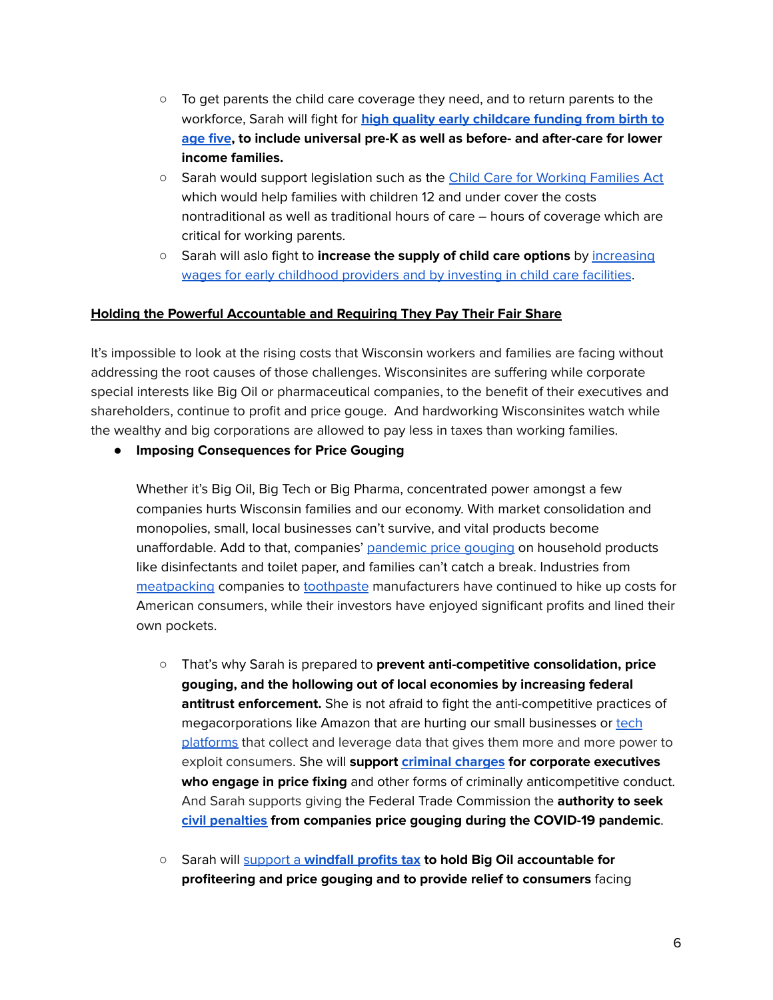- To get parents the child care coverage they need, and to return parents to the workforce, Sarah will fight for **high quality early [childcare](https://www.ffyf.org/faq-on-the-child-care-and-preschool-provisions-in-the-build-back-better-act/) funding from birth to [age](https://www.ffyf.org/faq-on-the-child-care-and-preschool-provisions-in-the-build-back-better-act/) five, to include universal pre-K as well as before- and after-care for lower income families.**
- Sarah would support legislation such as the Child Care for [Working](https://www.congress.gov/bill/117th-congress/senate-bill/1360/text) Families Act which would help families with children 12 and under cover the costs nontraditional as well as traditional hours of care – hours of coverage which are critical for working parents.
- Sarah will aslo fight to **increase the supply of child care options** by [increasing](https://www.congress.gov/bill/117th-congress/senate-bill/1360/text) wages for early [childhood](https://www.congress.gov/bill/117th-congress/senate-bill/1360/text) providers and by investing in child care facilities.

### **Holding the Powerful Accountable and Requiring They Pay Their Fair Share**

It's impossible to look at the rising costs that Wisconsin workers and families are facing without addressing the root causes of those challenges. Wisconsinites are suffering while corporate special interests like Big Oil or pharmaceutical companies, to the benefit of their executives and shareholders, continue to profit and price gouge. And hardworking Wisconsinites watch while the wealthy and big corporations are allowed to pay less in taxes than working families.

**● Imposing Consequences for Price Gouging**

Whether it's Big Oil, Big Tech or Big Pharma, concentrated power amongst a few companies hurts Wisconsin families and our economy. With market consolidation and monopolies, small, local businesses can't survive, and vital products become unaffordable. Add to that, companies' [pandemic](https://www.ft.com/content/231fb18b-32b2-4221-864a-c17fd0672ea2) price gouging on household products like disinfectants and toilet paper, and families can't catch a break. Industries from [meatpacking](https://www.reuters.com/business/qa-white-house-eyes-company-profits-inflation-battle-2022-02-16/) companies to [toothpaste](https://www.reuters.com/business/retail-consumer/10-toothpaste-us-household-goods-makers-face-blowback-price-hikes-2022-03-01/) manufacturers have continued to hike up costs for American consumers, while their investors have enjoyed significant profits and lined their own pockets.

- That's why Sarah is prepared to **prevent anti-competitive consolidation, price gouging, and the hollowing out of local economies by increasing federal antitrust enforcement.** She is not afraid to fight the anti-competitive practices of megacorporations like Amazon that are hurting our small businesses or [tech](https://www.cnn.com/2020/10/06/tech/congress-big-tech-antitrust-report/index.html) [platforms](https://www.cnn.com/2020/10/06/tech/congress-big-tech-antitrust-report/index.html) that collect and leverage data that gives them more and more power to exploit consumers. She will **support [criminal](https://cicilline.house.gov/press-release/chairman-cicilline%E2%80%99s-opening-statement-antitrust-subcommittee-hearing-food-supply) charges for corporate executives who engage in price fixing** and other forms of criminally anticompetitive conduct. And Sarah supports giving the Federal Trade Commission the **authority to seek civil [penalties](https://www.fox13memphis.com/news/local/lawmakers-weigh-bill-give-federal-government-more-power-crack-down-price-gouging/M4IEHDZCGRDTFPE6HENREXMOGE/) from companies price gouging during the COVID-19 pandemic**.
- Sarah will support a **[windfall](https://www.bloomberg.com/news/articles/2022-03-09/warren-targets-oil-companies-with-plan-to-tax-windfall-profits) profits tax to hold Big Oil accountable for profiteering and price gouging and to provide relief to consumers** facing